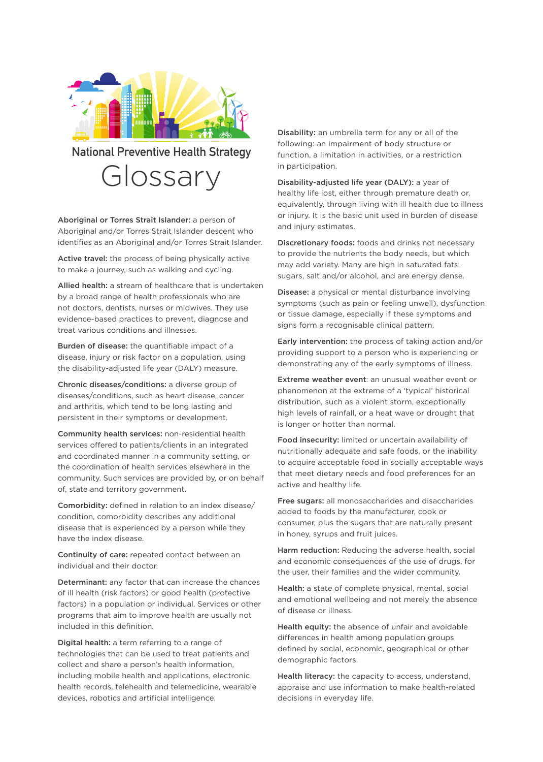

Glossary **National Preventive Health Strategy** 

Aboriginal or Torres Strait Islander: a person of Aboriginal and/or Torres Strait Islander descent who identifies as an Aboriginal and/or Torres Strait Islander.

Active travel: the process of being physically active to make a journey, such as walking and cycling.

Allied health: a stream of healthcare that is undertaken by a broad range of health professionals who are not doctors, dentists, nurses or midwives. They use evidence-based practices to prevent, diagnose and treat various conditions and illnesses.

Burden of disease: the quantifiable impact of a disease, injury or risk factor on a population, using the disability-adjusted life year (DALY) measure.

Chronic diseases/conditions: a diverse group of diseases/conditions, such as heart disease, cancer and arthritis, which tend to be long lasting and persistent in their symptoms or development.

Community health services: non-residential health services offered to patients/clients in an integrated and coordinated manner in a community setting, or the coordination of health services elsewhere in the community. Such services are provided by, or on behalf of, state and territory government.

Comorbidity: defined in relation to an index disease/ condition, comorbidity describes any additional disease that is experienced by a person while they have the index disease.

Continuity of care: repeated contact between an individual and their doctor.

Determinant: any factor that can increase the chances of ill health (risk factors) or good health (protective factors) in a population or individual. Services or other programs that aim to improve health are usually not included in this definition.

Digital health: a term referring to a range of technologies that can be used to treat patients and collect and share a person's health information, including mobile health and applications, electronic health records, telehealth and telemedicine, wearable devices, robotics and artificial intelligence.

Disability: an umbrella term for any or all of the following: an impairment of body structure or function, a limitation in activities, or a restriction in participation.

Disability-adjusted life year (DALY): a year of healthy life lost, either through premature death or, equivalently, through living with ill health due to illness or injury. It is the basic unit used in burden of disease and injury estimates.

Discretionary foods: foods and drinks not necessary to provide the nutrients the body needs, but which may add variety. Many are high in saturated fats, sugars, salt and/or alcohol, and are energy dense.

Disease: a physical or mental disturbance involving symptoms (such as pain or feeling unwell), dysfunction or tissue damage, especially if these symptoms and signs form a recognisable clinical pattern.

Early intervention: the process of taking action and/or providing support to a person who is experiencing or demonstrating any of the early symptoms of illness.

Extreme weather event: an unusual weather event or phenomenon at the extreme of a 'typical' historical distribution, such as a violent storm, exceptionally high levels of rainfall, or a heat wave or drought that is longer or hotter than normal.

Food insecurity: limited or uncertain availability of nutritionally adequate and safe foods, or the inability to acquire acceptable food in socially acceptable ways that meet dietary needs and food preferences for an active and healthy life.

Free sugars: all monosaccharides and disaccharides added to foods by the manufacturer, cook or consumer, plus the sugars that are naturally present in honey, syrups and fruit juices.

Harm reduction: Reducing the adverse health, social and economic consequences of the use of drugs, for the user, their families and the wider community.

Health: a state of complete physical, mental, social and emotional wellbeing and not merely the absence of disease or illness.

Health equity: the absence of unfair and avoidable differences in health among population groups defined by social, economic, geographical or other demographic factors.

Health literacy: the capacity to access, understand, appraise and use information to make health-related decisions in everyday life.